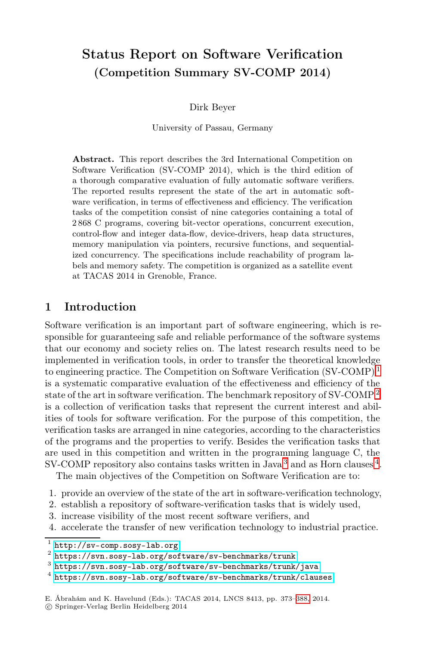# Status Report on Software Verification (Competition Summary SV-COMP 2014)

Dirk Beyer

University of Passau, Germany

Abstract. This report describes the 3rd International Competition on Software Verification (SV-COMP 2014), which is the third edition of a thorough comparative evaluation of fully automatic software verifiers. The reported results represent the state of the art in automatic software verification, in terms of effectiveness and efficiency. The verification tasks of the competition consist of nine categories containing a total of 2 868 C programs, covering bit-vector operations, concurrent execution, control-flow and integer data-flow, device-drivers, heap data structures, memory manipulation via pointers, recursive functions, and sequentialized concurrency. The specifications include reachability of program labels and memory safety. The competition is organized as a satellite event at TACAS 2014 in Grenoble, France.

# 1 Introduction

Software verification is an important part of software engineering, which is responsible for guaranteeing safe and reliable performance of the software systems that our economy and society relies on. The latest research results need to be implemented in verification tools, in order to transfer the theoretical knowledge to engineering practice. The Competiti[on](#page-0-0) on Software Verific[at](#page-0-1)ion (SV-COMP) <sup>1</sup> is a systematic comparative evaluation of the effectiveness and efficiency of the state of the art in software verification. The benchmark repository of SV-COMP<sup>2</sup> is a collection of verification tasks that represent the current interest and abilities of tools for software verification. For the purpose of this competition, the verification tasks are arranged in nine categories, according to the characteristics of the programs and the properties to verify. Besides the verification tasks that [are used in th](http://sv-comp.sosy-lab.org)is competition and written in the programming language C, the [SV-COMP repository also contains tasks w](https://svn.sosy-lab.org/software/sv-benchmarks/trunk/)ritten in Java<sup>3</sup> and as Horn clauses<sup>4</sup>.

<span id="page-0-1"></span><span id="page-0-0"></span>[The main objectives of the Competition on S](https://svn.sosy-lab.org/software/sv-benchmarks/trunk/java/)oftware Verification are to:

- [1.](https://svn.sosy-lab.org/software/sv-benchmarks/trunk/clauses/) [provide](https://svn.sosy-lab.org/software/sv-benchmarks/trunk/clauses/) [an](https://svn.sosy-lab.org/software/sv-benchmarks/trunk/clauses/) [overview](https://svn.sosy-lab.org/software/sv-benchmarks/trunk/clauses/) [of](https://svn.sosy-lab.org/software/sv-benchmarks/trunk/clauses/) [the](https://svn.sosy-lab.org/software/sv-benchmarks/trunk/clauses/) [state](https://svn.sosy-lab.org/software/sv-benchmarks/trunk/clauses/) [of](https://svn.sosy-lab.org/software/sv-benchmarks/trunk/clauses/) [the](https://svn.sosy-lab.org/software/sv-benchmarks/trunk/clauses/) [art](https://svn.sosy-lab.org/software/sv-benchmarks/trunk/clauses/) [in](https://svn.sosy-lab.org/software/sv-benchmarks/trunk/clauses/) [sof](https://svn.sosy-lab.org/software/sv-benchmarks/trunk/clauses/)tware-verification technology,
- 2. establish a repository of software-veri[ficat](#page-15-0)ion tasks that is widely used,
- 3. increase visibility of the most recent software verifiers, and
- 4. accelerate the transfer of new verification technology to industrial practice.

 $\frac{1}{1}$  http://sv-comp.sosy-lab.org

<sup>2</sup> https://svn.sosy-lab.org/software/sv-benchmarks/trunk

<sup>3</sup> https://svn.sosy-lab.org/software/sv-benchmarks/trunk/java

<sup>4</sup> https://svn.sosy-lab.org/software/sv-benchmarks/trunk/clauses

E. Ábrahám and K. Havelund (Eds.): TACAS 2014, LNCS 8413, pp. 373–388, 2014.

<sup>-</sup>c Springer-Verlag Berlin Heidelberg 2014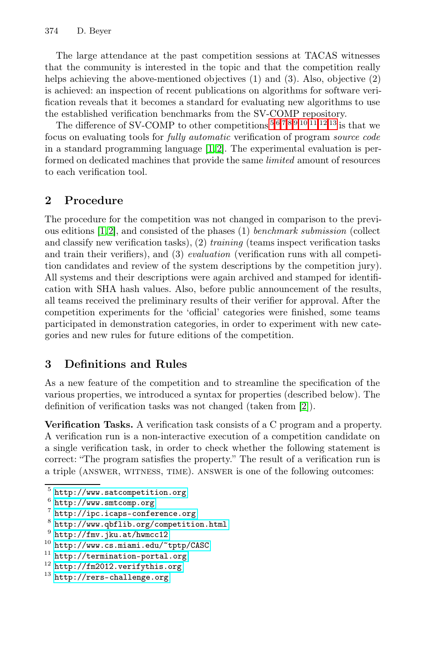The large attend[an](#page-13-0)[ce](#page-13-1) at the past competition sessions at TACAS witnesses that the community is interested in the topic and that the competition really helps achieving the above-mentioned objectives (1) and (3). Also, objective (2) is achieved: an inspection of recent publications on algorithms for software verification reveals that it becomes a standard for evaluating new algorithms to use the established verification benchmarks from the SV-COMP repository.

The difference of SV-COMP to other competitions  $5678910111213$  is that we focus on evaluating tools for *fully automatic* verification of program *source code* in a standard programming language [1,2]. The experimental evaluation is performed on dedicated machines that provide the same *limited* amount of resources to each verification tool.

# 2 Procedure

The procedure for the competition was not changed in comparison to the previous editions [1,2], and consisted of the phases (1) *benchmark submission* (collect and classify new verification tasks), (2) *training* (teams inspect verification tasks and train their verifiers), and (3) *evaluation* (verification runs with all competition candidates and review of the system descriptions by the competition jury). All systems and their descriptions were again archived and stamped for identification with SHA hash values. Also, before public announcement of the results, all teams received the preliminary results of their verifier for approval. After the competition experiments for the 'official' [ca](#page-13-1)tegories were finished, some teams participated in demonstration categories, in order to experiment with new categories and new rules for future editions of the competition.

# 3 Definitions and Rules

As a new feature of the competition and to streamline the specification of the various properties, we introduced a syntax for properties (described below). The [definition of veri](http://www.satcompetition.org)fication tasks was not changed (taken from [2]).

[Verification Task](http://ipc.icaps-conference.org)s. A verification task consists of a C program and a property. [A verification run is a non](http://www.qbflib.org/competition.html)-interactive execution of a competition candidate on [a single veri](http://fmv.jku.at/hwmcc12)fication task, in order to check whether the following statement is [correct: "The program](http://www.cs.miami.edu/~tptp/CASC) satisfies the property." The result of a verification run is [a](http://termination-portal.org)[triple](http://termination-portal.org)[\(](http://termination-portal.org)answer, witness, time). answer is one of the following outcomes:

 $5$  [http://ww](http://rers-challenge.org)w.satcompetition.org

 $^{6}$  http://www.smtcomp.org

http://ipc.icaps-conference.org

<sup>8</sup> http://www.qbflib.org/competition.html

 $9$  http://fmv.jku.at/hwmcc12

<sup>10</sup> http://www.cs.miami.edu/~tptp/CASC

 $11 \text{ http://termination-portal.org}$ 

<sup>12</sup> http://fm2012.verifythis.org

<sup>13</sup> http://rers-challenge.org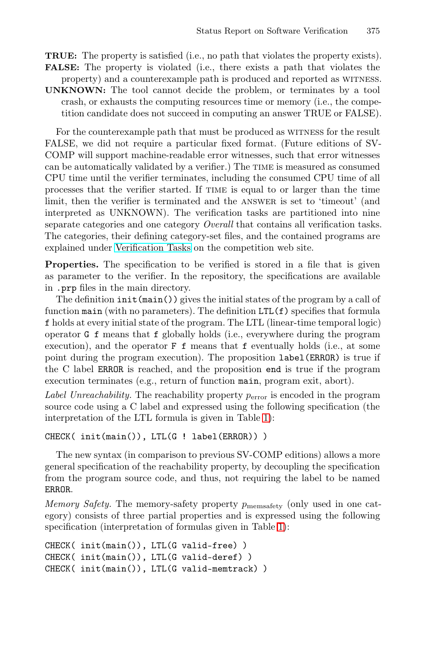TRUE: The property is satisfied (i.e., no path that violates the property exists). FALSE: The property is violated (i.e., there exists a path that violates the property) and a counterexample path is produced and reported as witness.

UNKNOWN: The tool cannot decide the problem, or terminates by a tool crash, or exhausts the computing resources time or memory (i.e., the competition candidate does not succeed in computing an answer TRUE or FALSE).

For the counterexample path that must be produced as witness for the result FALSE, we did not require a particular fixed format. (Future editions of SV-[COMP will suppo](http://sv-comp.sosy-lab.org/2014/benchmarks.php)rt machine-readable error witnesses, such that error witnesses can be automatically validated by a verifier.) The TIME is measured as consumed CPU time until the verifier terminates, including the consumed CPU time of all processes that the verifier started. If time is equal to or larger than the time limit, then the verifier is terminated and the ANSWER is set to 'timeout' (and interpreted as UNKNOWN). The verification tasks are partitioned into nine separate categories and one category *Overall* that contains all verification tasks. The categories, their defining category-set files, and the contained programs are explained under Verification Tasks on the competition web site.

Properties. The specification to be verified is stored in a file that is given as parameter to the verifier. In the repository, the specifications are available in .prp files in the main directory.

The definition  $\text{init}(\text{main}())$  gives the initial states of the program by a call of function main (with no parameters). The definition  $LTL(f)$  specifies that formula f holds at every initial state of the program. The LTL (linear-time temporal logic) operator G f means that f globa[lly](#page-3-0) holds (i.e., everywhere during the program execution), and the operator F f means that f eventually holds (i.e., at some point during the program execution). The proposition label(ERROR) is true if the C label ERROR is reached, and the proposition end is true if the program execution terminates (e.g., return of function main, program exit, abort).

*Label Unreachability.* The reachability property  $p_{\text{error}}$  is encoded in the program source code using a C label and expressed using the following specification (the interpretation of the LTL formula is given in Table 1):

CHECK( init(main()), LTL(G ! l[abe](#page-3-0)l(ERROR)) )

The new syntax (in comparison to previous SV-COMP editions) allows a more general specification of the reachability property, by decoupling the specification from the program source code, and thus, not requiring the label to be named ERROR.

*Memory Safety.* The memory-safety property  $p_{\text{memsafety}}$  (only used in one category) consists of three partial properties and is expressed using the following specification (interpretation of formulas given in Table 1):

CHECK( init(main()), LTL(G valid-free) ) CHECK( init(main()), LTL(G valid-deref) ) CHECK( init(main()), LTL(G valid-memtrack) )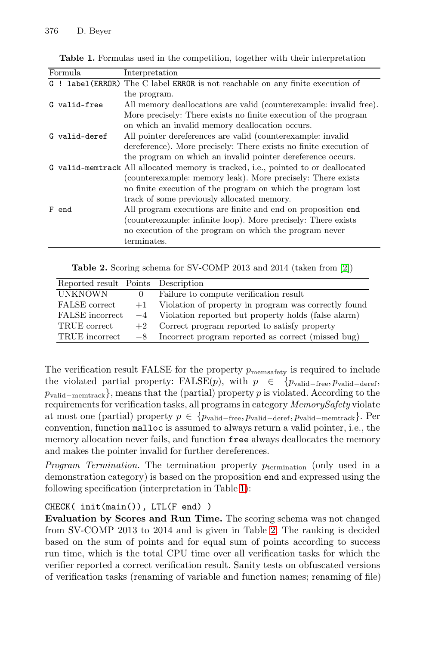<span id="page-3-1"></span><span id="page-3-0"></span>Table 1. Formulas used in the competition, together with their interpretation

| Formula       | Interpretation                                                                    |
|---------------|-----------------------------------------------------------------------------------|
|               | G ! label (ERROR) The C label ERROR is not reachable on any finite execution of   |
|               | the program.                                                                      |
| G valid-free  | All memory deallocations are valid (counterexample: invalid free).                |
|               | More precisely: There exists no finite execution of the program                   |
|               | on which an invalid memory deallocation occurs.                                   |
| G valid-deref | All pointer dereferences are valid (counterexample: invalid                       |
|               | dereference). More precisely: There exists no finite execution of                 |
|               | the program on which an invalid pointer dereference occurs.                       |
|               | G valid-memtrack All allocated memory is tracked, i.e., pointed to or deallocated |
|               | (counterexample: memory leak). More precisely: There exists                       |
|               | no finite execution of the program on which the program lost                      |
|               | track of some previously allocated memory.                                        |
| F end         | All program executions are finite and end on proposition end                      |
|               | (counterexample: infinite loop). More precisely: There exists                     |
|               | no execution of the program on which the program never                            |
|               | terminates.                                                                       |

Table 2. Scoring schema for SV-COMP 2013 and 2014 (taken from [2])

| Reported result Points Description |          |                                                          |
|------------------------------------|----------|----------------------------------------------------------|
| <b>UNKNOWN</b>                     | $\theta$ | Failure to compute verification result                   |
| FALSE correct                      | $+1$     | Violation of property in program was correctly found     |
| <b>FALSE</b> incorrect             |          | $-4$ Violation reported but property holds (false alarm) |
| TRUE correct                       | $+2$     | Correct program reported to satisfy property             |
| TRUE incorrect                     |          | $-8$ Incorrect program reported as correct (missed bug)  |

The verification result FALSE for the property  $p_{\text{memsafety}}$  is required to include the violated partial property: FALSE $(p)$ , with  $p \in \{p_{valid-free}, p_{valid-degree} \}$ *p*valid–memtrack}, means that the (partial) property *p* is violated. According to the requirements for verification [ta](#page-3-0)sks, all programs in category *MemorySafety* violate at most one (partial) property *p* ∈ {*p*valid−free*, p*valid−deref*, p*valid−memtrack}. Per convention, function malloc is assumed to always return a valid pointer, i.e., the memory allocation never fails, and [fun](#page-3-1)ction free always deallocates the memory and makes the pointer invalid for further dereferences.

*Program Termination*. The termination property  $p_{\text{termination}}$  (only used in a demonstration category) is based on the proposition end and expressed using the following specification (interpretation in Table 1):

#### CHECK( init(main()), LTL(F end) )

Evaluation by Scores and Run Time. The scoring schema was not changed from SV-COMP 2013 to 2014 and is given in Table 2. The ranking is decided based on the sum of points and for equal sum of points according to success run time, which is the total CPU time over all verification tasks for which the verifier reported a correct verification result. Sanity tests on obfuscated versions of verification tasks (renaming of variable and function names; renaming of file)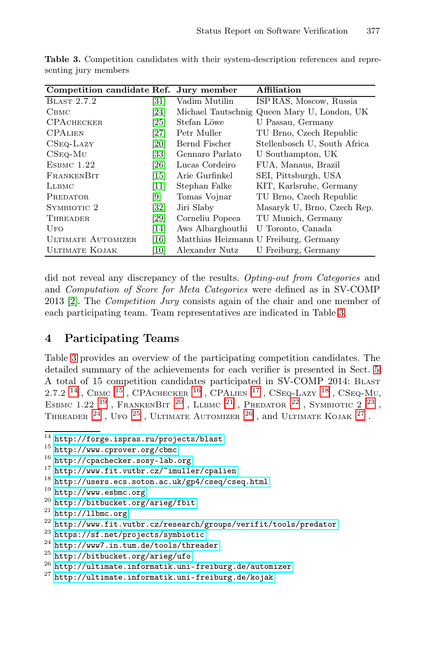<span id="page-4-0"></span>Table 3. [C](#page-14-0)ompetition candidates with their system-description references and representing [jury](#page-15-1) members

| Competition candidate Ref. Jury member |                    |                  | Affiliation                                 |
|----------------------------------------|--------------------|------------------|---------------------------------------------|
| <b>BLAST 2.7.2</b>                     | [31]               | Vadim Mutilin    | ISP RAS, Moscow, Russia                     |
| $C_{\rm BMC}$                          | [24]               |                  | Michael Tautschnig Queen Mary U, London, UK |
| <b>CPACHECKER</b>                      | [25]               | Stefan Löwe      | U Passau, Germany                           |
| <b>CPALIEN</b>                         | [27]               | Petr Muller      | TU Brno, Czech Republic                     |
| $CSeQ-Lazy$                            | [20]               | Bernd Fischer    | Stellenbosch U, South Africa                |
| $CSeQ-Mu$                              | [33]               | Gennaro Parlato  | U Southampton, UK                           |
| ESBMC 1.22                             | [26]               | Lucas Cordeiro   | FUA, Manaus, Brazil                         |
| FRANKENBIT                             | $\left[15\right]$  | Arie Gurfinkel   | SEI, Pittsburgh, USA                        |
| LLBMC                                  | $[11]$             | Stephan Falke    | KIT, Karlsruhe, Germany                     |
| PREDATOR                               | $[9]$              | Tomas Vojnar     | TU Brno, Czech Republic                     |
| SYMBIOTIC 2                            | $\left[ 32\right]$ | Jiri Slaby       | Masaryk U, Brno, Czech Rep.                 |
| THREADER                               | [29]               | Corneliu Popeea  | TU Munich, Germany                          |
| UFO                                    | $[14]$             | Aws Albarghouthi | U Toronto, Canada                           |
| <b>ULTIMATE AUTOMIZER</b>              | $[16]$             |                  | Matthias Heizmann U Freiburg, Germany       |
| <b>ULTIMATE KOJAK</b>                  | [10]               | Alexander Nutz   | U Freiburg, Germany                         |

<span id="page-4-2"></span><span id="page-4-1"></span>did not reveal any discrepancy of the results. *Opting-out f[rom](#page-9-0) Categories* and and *Computation of Score for Meta Categories* were defined as in SV-COMP [2](#page-4-1)013 [2]. The *Co[mp](#page-4-2)etition Jur[y](#page-4-3)* consists again [of](#page-4-4) the chair and one member of each partici[pat](#page-4-5)ing team. [Te](#page-4-6)am represen[tat](#page-4-7)ives are indicat[ed](#page-4-8) in Table 3.

# <span id="page-4-5"></span><span id="page-4-4"></span><span id="page-4-3"></span>4 Participating Teams

<span id="page-4-8"></span><span id="page-4-7"></span><span id="page-4-6"></span>[Table 3 provi](http://www.cprover.org/cbmc)[des](http://forge.ispras.ru/projects/blast) [an](http://forge.ispras.ru/projects/blast) [over](http://forge.ispras.ru/projects/blast)view of the participating competition candidates. The [detailed summary](http://cpachecker.sosy-lab.org) of the achievements for each verifier is presented in Sect. 5. [A total of 15 competition c](http://www.fit.vutbr.cz/~imuller/cpalien)andidates participated in SV-COMP 2014: Blast  $2.7.2$   $^{14}$ , CBMC  $^{15}$ , CPACHECKER  $^{16}$ , CPALIEN  $^{17}$ , CSEQ-LAZY  $^{18}$ , CSEQ-MU, ESBMC 1.22  $^{19}$ , FrankenBit  $^{20}$ , Llbmc  $^{21}$ , Predator  $^{22}$ , Symbiotic 2  $^{23}$ , THREADER  $^{24}$  , Ufo  $^{25}$  , Ultimate Automizer  $^{26}$  , and Ultimate Kojak  $^{27}$  .

 $\frac{14 \text{ http://forge.ispras.ru/projects/blast}}{14 \text{ http://forge.ispras.ru/projects/blast}}$  $\frac{14 \text{ http://forge.ispras.ru/projects/blast}}{14 \text{ http://forge.ispras.ru/projects/blast}}$  $\frac{14 \text{ http://forge.ispras.ru/projects/blast}}{14 \text{ http://forge.ispras.ru/projects/blast}}$ 

<sup>15</sup> [http://www.cprove](https://sf.net/projects/symbiotic)r.org/cbmc

<sup>16</sup> [http://cpachecker.so](http://www7.in.tum.de/tools/threader)sy-lab.org

<sup>17</sup> [http://www.fit](http://bitbucket.org/arieg/ufo).vutbr.cz/~imuller/cpalien

<sup>18</sup> [http://users.ecs.soton.ac.uk/gp4/cse](http://ultimate.informatik.uni-freiburg.de/automizer)q/cseq.html

<sup>19</sup> [http://www.esbmc.org](http://ultimate.informatik.uni-freiburg.de/kojak)

 $^{20}$ http://bitbucket.org/arieg/fbit

 $^{21}$  http://llbmc.org

<sup>22</sup> http://www.fit.vutbr.cz/research/groups/verifit/tools/predator

<sup>23</sup> https://sf.net/projects/symbiotic

<sup>24</sup> http://www7.in.tum.de/tools/threader

 $^{25}$ http://bitbucket.org/arieg/ufo

<sup>26</sup> http://ultimate.informatik.uni-freiburg.de/automizer

 $^{27}$ http://ultimate.informatik.uni-freiburg.de/kojak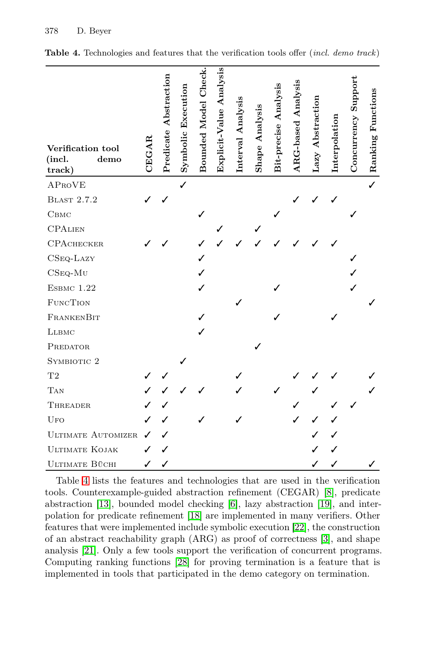| Verification tool<br>(incl.<br>demo<br>track) | CEGAR | Predicate Abstraction | Symbolic Execution | Bounded Model Check. | Explicit-Value Analysis | Interval Analysis | Shape Analysis | Bit-precise Analysis | ARG-based Analysis | Lazy Abstraction | Interpolation | Concurrency Support | Ranking Functions |
|-----------------------------------------------|-------|-----------------------|--------------------|----------------------|-------------------------|-------------------|----------------|----------------------|--------------------|------------------|---------------|---------------------|-------------------|
| <b>APROVE</b>                                 |       |                       | ✓                  |                      |                         |                   |                |                      |                    |                  |               |                     | ✓                 |
| <b>BLAST 2.7.2</b>                            |       |                       |                    |                      |                         |                   |                |                      |                    |                  |               |                     |                   |
| CBMC                                          |       |                       |                    |                      |                         |                   |                |                      |                    |                  |               |                     |                   |
| <b>CPALIEN</b>                                |       |                       |                    |                      |                         |                   |                |                      |                    |                  |               |                     |                   |
| CPACHECKER                                    |       |                       |                    |                      |                         |                   |                |                      |                    |                  |               |                     |                   |
| $CSeQ-LAZY$                                   |       |                       |                    |                      |                         |                   |                |                      |                    |                  |               |                     |                   |
| $CSeQ-MU$                                     |       |                       |                    |                      |                         |                   |                |                      |                    |                  |               |                     |                   |
| ESBMC 1.22                                    |       |                       |                    |                      |                         |                   |                |                      |                    |                  |               |                     |                   |
| FUNCTION                                      |       |                       |                    |                      |                         |                   |                |                      |                    |                  |               |                     |                   |
| FRANKENBIT                                    |       |                       |                    |                      |                         |                   |                |                      |                    |                  |               |                     |                   |
| LLBMC                                         |       |                       |                    |                      |                         |                   |                |                      |                    |                  |               |                     |                   |
| PREDATOR                                      |       |                       |                    |                      |                         |                   |                |                      |                    |                  |               |                     |                   |
| SYMBIOTIC 2                                   |       |                       |                    |                      |                         |                   |                |                      |                    |                  |               |                     |                   |
| T2                                            |       |                       |                    |                      |                         |                   |                |                      |                    |                  |               |                     |                   |
| TAN                                           |       |                       |                    |                      |                         |                   |                |                      |                    |                  |               |                     |                   |
| THREADER                                      |       |                       |                    |                      |                         |                   |                |                      |                    |                  |               |                     |                   |
| $U_{\rm FO}$                                  |       |                       |                    |                      |                         |                   |                |                      |                    |                  |               |                     |                   |
| <b>ULTIMATE AUTOMIZER</b>                     |       |                       |                    |                      |                         |                   |                |                      |                    |                  |               |                     |                   |
| ULTIMATE KOJAK                                |       |                       |                    |                      |                         |                   |                |                      |                    |                  |               |                     |                   |
| ULTIMATE BÜCHI                                |       |                       |                    |                      |                         |                   |                |                      |                    |                  |               |                     |                   |

Table 4. Technologies and features that the verification tools offer (*incl. demo track*)

Table 4 li[sts](#page-15-6) the features and technologies that are used in the verification tools. Counterexample-guided abstraction refinement (CEGAR) [8], predicate abstraction [13], bounded model checking [6], lazy abstraction [19], and interpolation for predicate refinement [18] are implemented in many verifiers. Other features that were implemented include symbolic execution [22], the construction of an abstract reachability graph (ARG) as proof of correctness [3], and shape analysis [21]. Only a few tools support the verification of concurrent programs. Computing ranking functions [28] for proving termination is a feature that is implemented in tools that participated in the demo category on termination.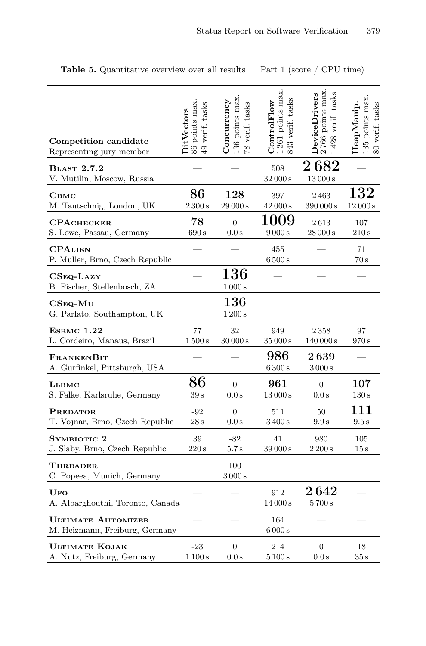| Competition candidate<br>Representing jury member           | 86 points max.<br>49 verif. tasks<br><b>BitVectors</b> | 136 points max<br>Concurrency<br>78 verif. tasks | 1261 points max.<br>843 verif. tasks<br>ControlFlow | 2766 points max.<br>DeviceDrivers<br>428 verif. tasks | 135 points max<br>HeapManip.<br>80 verif. tasks |
|-------------------------------------------------------------|--------------------------------------------------------|--------------------------------------------------|-----------------------------------------------------|-------------------------------------------------------|-------------------------------------------------|
| <b>BLAST 2.7.2</b><br>V. Mutilin, Moscow, Russia            |                                                        |                                                  | 508<br>32000 s                                      | 2682<br>13000 s                                       |                                                 |
| $_{\rm CBMC}$<br>M. Tautschnig, London, UK                  | 86<br>2300 s                                           | 128<br>29000 s                                   | 397<br>42000 s                                      | 2463<br>$390\,000\,\mathrm{s}$                        | $132\,$<br>12000s                               |
| <b>CPACHECKER</b><br>S. Löwe, Passau, Germany               | 78<br>690 s                                            | $\overline{0}$<br>0.0 s                          | 1009<br>9000 s                                      | 2613<br>28000 s                                       | 107<br>210 s                                    |
| <b>CPALIEN</b><br>P. Muller, Brno, Czech Republic           |                                                        |                                                  | 455<br>6500 s                                       |                                                       | 71<br>$70\,\mathrm{s}$                          |
| $CSeQ-LAZY$<br>B. Fischer, Stellenbosch, ZA                 |                                                        | 136<br>1000s                                     |                                                     |                                                       |                                                 |
| $CSeQ-MU$<br>G. Parlato, Southampton, UK                    |                                                        | 136<br>1200s                                     |                                                     |                                                       |                                                 |
| $E$ SBMC 1.22<br>L. Cordeiro, Manaus, Brazil                | 77<br>1500s                                            | 32<br>30000 s                                    | 949<br>35000 s                                      | 2358<br>140 000 s                                     | 97<br>970 s                                     |
| FRANKENBIT<br>A. Gurfinkel, Pittsburgh, USA                 |                                                        |                                                  | 986<br>6300 s                                       | 2639<br>3000 s                                        |                                                 |
| LLBMC<br>S. Falke, Karlsruhe, Germany                       | 86<br>39s                                              | $\overline{0}$<br>0.0 s                          | 961<br>13000s                                       | $\theta$<br>0.0 s                                     | 107<br>130 s                                    |
| PREDATOR<br>T. Vojnar, Brno, Czech Republic                 | $-92$<br>28 s                                          | $\theta$<br>0.0 s                                | 511<br>3400 s                                       | 50<br>9.9 s                                           | 111<br>9.5 s                                    |
| SYMBIOTIC 2<br>J. Slaby, Brno, Czech Republic               | 39<br>220 s                                            | $-82$<br>5.7 s                                   | 41<br>39000 s                                       | 980<br>$2\,200\,\mathrm{s}$                           | 105<br>$15\,\mathrm{s}$                         |
| THREADER<br>C. Popeea, Munich, Germany                      |                                                        | 100<br>3000 s                                    |                                                     |                                                       |                                                 |
| $U$ FO<br>A. Albarghouthi, Toronto, Canada                  |                                                        |                                                  | 912<br>14000s                                       | $2\,642$<br>5700 s                                    |                                                 |
| <b>ULTIMATE AUTOMIZER</b><br>M. Heizmann, Freiburg, Germany |                                                        |                                                  | 164<br>6000 s                                       |                                                       |                                                 |
| <b>ULTIMATE KOJAK</b><br>A. Nutz, Freiburg, Germany         | $-23$<br>1100s                                         | $\overline{0}$<br>0.0 s                          | 214<br>$5100\,\mathrm{s}$                           | $\overline{0}$<br>0.0 s                               | 18<br>$35\,\mathrm{s}$                          |

Table 5. Quantitative overview over all results — Part  $1$  (score / CPU time)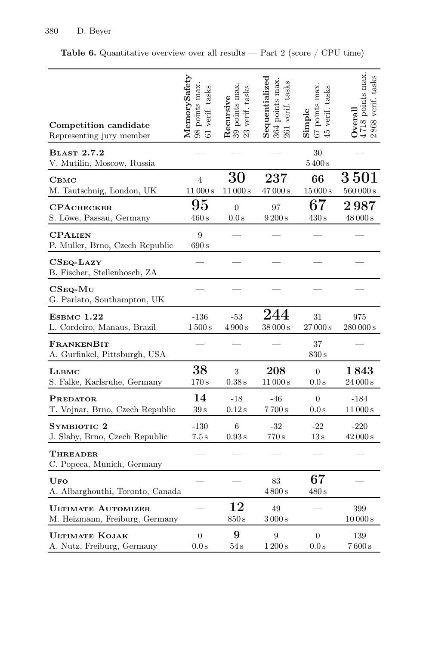|  | <b>Table 6.</b> Quantitative overview over all results $-$ Part 2 (score / CPU time) |  |  |  |  |  |  |  |  |  |  |
|--|--------------------------------------------------------------------------------------|--|--|--|--|--|--|--|--|--|--|
|--|--------------------------------------------------------------------------------------|--|--|--|--|--|--|--|--|--|--|

| Competition candidate<br>Representing jury member      | MemorySafety<br>98 points max<br>tasks<br>verif.<br>61 | 39 points max<br>verif. tasks<br>Recursive<br>$23 -$ | Sequentialized<br>364 points max.<br>tasks<br>verif.<br>261 | 67 points max.<br>tasks<br>verif.<br>Simple<br>$\ddot{4}$ | 4718 points max.<br>868 verif. tasks<br>Overall |
|--------------------------------------------------------|--------------------------------------------------------|------------------------------------------------------|-------------------------------------------------------------|-----------------------------------------------------------|-------------------------------------------------|
| <b>BLAST 2.7.2</b><br>V. Mutilin, Moscow, Russia       |                                                        |                                                      |                                                             | 30<br>5400 s                                              |                                                 |
| $_{\rm CBMC}$<br>M. Tautschnig, London, UK             | 4<br>11000 s                                           | 30<br>11000 s                                        | $\bf 237$<br>47 000 s                                       | 66<br>$15\,000\,\mathrm{s}$                               | $3\,501$<br>$560\,000\,\mathrm{s}$              |
| CPACHECKER<br>S. Löwe, Passau, Germany                 | 95<br>460 s                                            | $\overline{0}$<br>0.0 s                              | 97<br>9200 s                                                | 67<br>$430\,\mathrm{s}$                                   | $2\,987$<br>48000 s                             |
| <b>CPALIEN</b><br>P. Muller, Brno, Czech Republic      | 9<br>690 s                                             |                                                      |                                                             |                                                           |                                                 |
| $CSeQ-Lazy$<br>B. Fischer, Stellenbosch, ZA            |                                                        |                                                      |                                                             |                                                           |                                                 |
| $_{\rm CSeo\text{-}Mu}$<br>G. Parlato, Southampton, UK |                                                        |                                                      |                                                             |                                                           |                                                 |
| $E$ SBMC $1.22$<br>L. Cordeiro, Manaus, Brazil         | $-136$<br>1500 s                                       | $-53$<br>$4\,900\,\mathrm{s}$                        | 244<br>38000 s                                              | 31<br>$27\,000\,\mathrm{s}$                               | 975<br>$280000$ s                               |
| FRANKENBIT<br>A. Gurfinkel, Pittsburgh, USA            |                                                        |                                                      |                                                             | 37<br>830 s                                               |                                                 |
| LLBMC<br>S. Falke, Karlsruhe, Germany                  | 38<br>170 s                                            | 3<br>0.38 s                                          | 208<br>11000s                                               | $\overline{0}$<br>0.0 s                                   | 1843<br>24000 s                                 |
| PREDATOR<br>T. Vojnar, Brno, Czech Republic            | 14<br>39 s                                             | $-18$<br>$0.12\,\mathrm{s}$                          | $-46$<br>$7\,700\,\mathrm{s}$                               | $\overline{0}$<br>0.0 s                                   | $-184$<br>11000s                                |
| Symbiotic 2<br>J. Slaby, Brno, Czech Republic          | $-130$<br>7.5 s                                        | 6<br>$0.93\,\mathrm{s}$                              | $-32$<br>$770\,\mathrm{s}$                                  | $-22$<br>$13\,\mathrm{s}$                                 | $-220$<br>42000 s                               |
| Threader<br>C. Popeea, Munich, Germany                 |                                                        |                                                      |                                                             |                                                           |                                                 |
| UFO<br>A. Albarghouthi, Toronto, Canada                |                                                        |                                                      | 83<br>4800 s                                                | 67<br>$480\,\mathrm{s}$                                   |                                                 |
| ULTIMATE AUTOMIZER<br>M. Heizmann, Freiburg, Germany   |                                                        | 12<br>$850\,\mathrm{s}$                              | 49<br>3000 s                                                |                                                           | 399<br>10000 s                                  |
| <b>ULTIMATE KOJAK</b><br>A. Nutz, Freiburg, Germany    | $\boldsymbol{0}$<br>0.0 s                              | 9<br>54s                                             | 9<br>1200s                                                  | 0<br>0.0 s                                                | 139<br>7600 s                                   |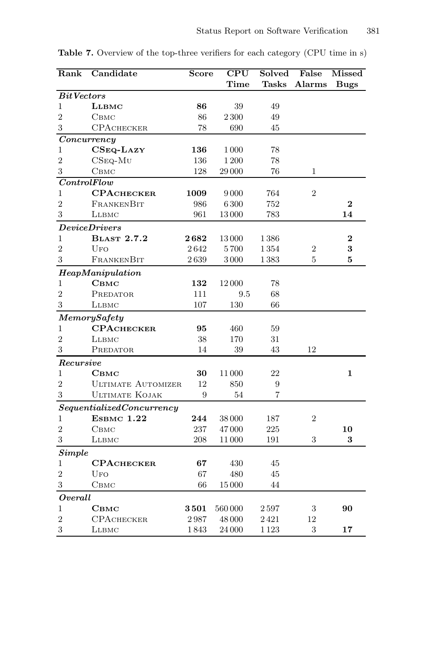| Rank              | Candidate                  | Score | <b>CPU</b> | Solved         | False          | Missed      |
|-------------------|----------------------------|-------|------------|----------------|----------------|-------------|
|                   |                            |       | Time       | <b>Tasks</b>   | Alarms         | <b>Bugs</b> |
| <b>BitVectors</b> |                            |       |            |                |                |             |
| 1                 | LLBMC                      | 86    | 39         | 49             |                |             |
| $\overline{2}$    | Свмс                       | 86    | 2300       | 49             |                |             |
| 3                 | CPACHECKER                 | 78    | 690        | 45             |                |             |
|                   | Concurrency                |       |            |                |                |             |
| 1                 | CSEQ-LAZY                  | 136   | 1 0 0 0    | 78             |                |             |
| $\overline{2}$    | CSEQ-Mu                    | 136   | 1 200      | 78             |                |             |
| 3                 | $C_{\rm BMC}$              | 128   | 29 000     | 76             | 1              |             |
| ControlFlow       |                            |       |            |                |                |             |
| 1                 | CPACHECKER                 | 1009  | 9000       | 764            | 2              |             |
| $\overline{2}$    | FRANKENBIT                 | 986   | 6300       | 752            |                | $\bf{2}$    |
| 3                 | LLBMC                      | 961   | 13000      | 783            |                | 14          |
|                   | <i>DeviceDrivers</i>       |       |            |                |                |             |
| $\mathbf{1}$      | <b>BLAST 2.7.2</b>         | 2682  | 13000      | 1386           |                | $\bf{2}$    |
| $\overline{2}$    | UFO                        | 2642  | 5700       | 1354           | $\overline{2}$ | 3           |
| 3                 | FRANKENBIT                 | 2639  | 3000       | 1383           | 5              | 5           |
|                   | HeapManipulation           |       |            |                |                |             |
| 1                 | $C$ BMC                    | 132   | 12000      | 78             |                |             |
| $\overline{2}$    | PREDATOR                   | 111   | 9.5        | 68             |                |             |
| 3                 | <b>LLBMC</b>               | 107   | 130        | 66             |                |             |
|                   | MemorySafety               |       |            |                |                |             |
| $\mathbf{1}$      | СРАСНЕСКЕР                 | 95    | 460        | 59             |                |             |
| $\overline{2}$    | LLBMC                      | 38    | 170        | 31             |                |             |
| 3                 | PREDATOR                   | 14    | 39         | 43             | 12             |             |
| Recursive         |                            |       |            |                |                |             |
| $\mathbf{1}$      | $C_{\rm BMC}$              | 30    | 11000      | 22             |                | $\mathbf 1$ |
| $\overline{2}$    | <b>ULTIMATE AUTOMIZER</b>  | 12    | 850        | 9              |                |             |
| 3                 | ULTIMATE KOJAK             | 9     | 54         | $\overline{7}$ |                |             |
|                   | Sequentialized Concurrency |       |            |                |                |             |
| 1                 | ESBMC 1.22                 | 244   | 38000      | 187            | $\overline{2}$ |             |
| $\overline{2}$    | CBMC                       | 237   | 47000      | 225            |                | 10          |
| 3                 | LLBMC                      | 208   | 11000      | 191            | $\sqrt{3}$     | 3           |
| <b>Simple</b>     |                            |       |            |                |                |             |
| $\mathbf 1$       | <b>CPACHECKER</b>          | 67    | 430        | 45             |                |             |
| $\overline{2}$    | UFO                        | 67    | 480        | 45             |                |             |
| 3                 | $C_{\rm BMC}$              | 66    | 15000      | 44             |                |             |
| Overall           |                            |       |            |                |                |             |
| 1                 | CBMC                       | 3501  | 560000     | 2597           | 3              | 90          |
| $\overline{2}$    | CPACHECKER                 | 2987  | 48 000     | 2421           | 12             |             |
| 3                 | Llbмс                      | 1843  | 24 000     | 1 1 2 3        | 3              | 17          |

<span id="page-8-0"></span>

|  |  | Table 7. Overview of the top-three verifiers for each category (CPU time in s) |  |  |  |  |  |  |  |  |
|--|--|--------------------------------------------------------------------------------|--|--|--|--|--|--|--|--|
|--|--|--------------------------------------------------------------------------------|--|--|--|--|--|--|--|--|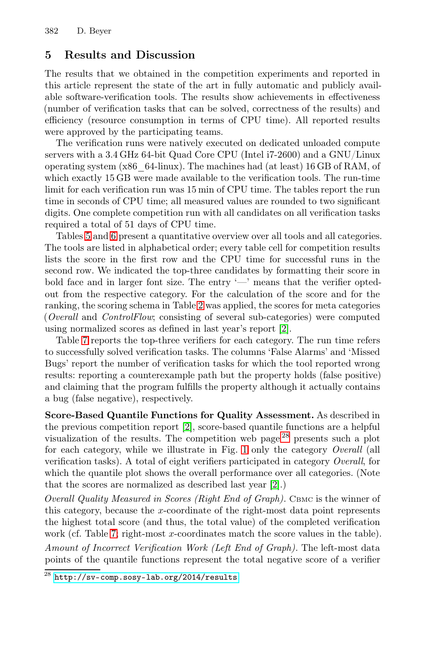# <span id="page-9-0"></span>5 Results and Discussion

The results that we obtained in the competition experiments and reported in this article represent the state of the art in fully automatic and publicly available software-verification tools. The results show achievements in effectiveness (number of verification tasks that can be solved, correctness of the results) and efficiency (resource consumption in terms of CPU time). All reported results were approved by the participating teams.

The verification runs were natively executed on dedicated unloaded compute servers with a 3.4 GHz 64-bit Quad Core CPU (Intel i7-2600) and a GNU/Linux operating system ( $x86$  –64-linux). The machines had (at least) 16 GB of RAM, of which exactly 15 GB were made available to the verification tools. The run-time limit for each verification run was 15 min of CPU time. The tables report the run time in seconds of CPU time; all measured values are rounded to two significant digits. One compl[ete](#page-3-1) competition run with all candidates on all verification tasks required a total of 51 days of CPU time.

Tables 5 and 6 present a quantitati[ve](#page-13-1) overview over all tools and all categories. The tools are listed in alphabetical order; every table cell for competition results lists the score in the first row and the CPU time for successful runs in the second row. We indicated the top-three candidates by formatting their score in bold face and in larger font size. The entry  $\leftarrow$  means that the verifier optedout from the respective category. For the calculation of the score and for the ranking, the scoring schema in Table 2 was applied, the scores for meta categories (*Overall* and *ControlFlow*; consisting of several sub-categories) were computed using normalized scores as defined in last year's report [2].

Table 7 rep[ort](#page-13-1)s the top-three verifiers for each category. The run time refers to successfully solved verification task[s.](#page-9-1) [T](#page-9-1)he columns 'False Alarms' and 'Missed Bugs' report the number of [ver](#page-10-0)ification tasks for which the tool reported wrong results: reporting a counterexample path but the property holds (false positive) and claiming that the program fulfil[ls](#page-13-1) the property although it actually contains a bug (false negative), respectively.

<span id="page-9-1"></span>Score-Based Quantile Functions for Quality Assessment. As described in the previous competition report [2], score-based quantile functions are a helpful visualization of the results. The competition web page <sup>28</sup> presents such a plot for each category, while we illustrate in Fig. 1 only the category *Overall* (all verification tasks). A total of eight verifiers participated in category *Overall*, for which the quantile plot shows the overall performance over all categories. (Note [that the scores are normalize](http://sv-comp.sosy-lab.org/2014/results)d as described last year [2].)

*Overall Quality Measured in Scores (Right End of Graph)*. CBMc is the winner of this category, because the *x*-coordinate of the right-most data point represents the highest total score (and thus, the total value) of the completed verification work (cf. Table 7; right-most *x*-coordinates match the score values in the table). *Amount of Incorrect Verification Work (Left End of Graph).* The left-most data points of the quantile functions represent the total negative score of a verifier

 $\frac{28 \text{ http://sv-comp.sosy-lab.org}/2014/\text{results}}{28}$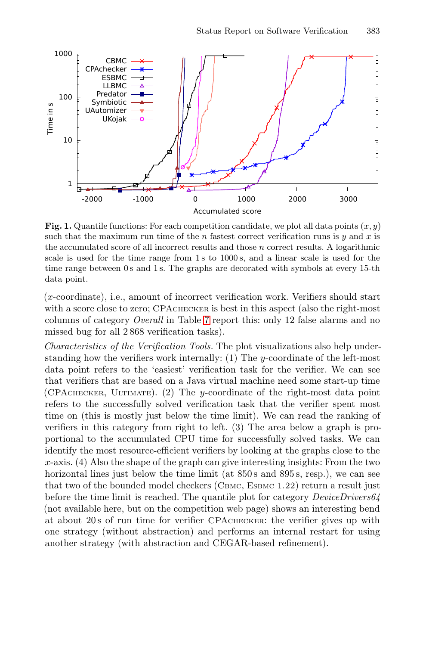<span id="page-10-0"></span>

**Fig. 1.** Quantile functions: For each competition candidate, we plot all data points  $(x, y)$ such that the maxim[um](#page-8-0) run time of the *n* fastest correct verification runs is *y* and *x* is the accumulated score of all incorrect results and those *n* correct results. A logarithmic scale is used for the time range from 1 s to 1000 s, and a linear scale is used for the time range between 0s and 1s. The graphs are decorated with symbols at every 15-th data point.

(*x*-coordinate), i.e., amount of incorrect verification work. Verifiers should start with a score close to zero; CPACHECKER is best in this aspect (also the right-most columns of category *Overall* in Table 7 report this: only 12 false alarms and no missed bug for all 2 868 verification tasks).

*Characteristics of the Verification Tools.* The plot visualizations also help understanding how the verifiers work internally: (1) The *y*-coordinate of the left-most data point refers to the 'easiest' verification task for the verifier. We can see that verifiers that are based on a Java virtual machine need some start-up time (CPAchecker, Ultimate). (2) The *y*-coordinate of the right-most data point refers to the successfully solved verification task that the verifier spent most time on (this is mostly just below the time limit). We can read the ranking of verifiers in this category from right to left. (3) The area below a graph is proportional to the accumulated CPU time for successfully solved tasks. We can identify the most resource-efficient verifiers by looking at the graphs close to the *x*-axis. (4) Also the shape of the graph can give interesting insights: From the two horizontal lines just below the time limit (at  $850s$  and  $895s$ , resp.), we can see that two of the bounded model checkers (CBMC, ESBMC  $1.22$ ) return a result just before the time limit is reached. The quantile plot for category *DeviceDrivers64* (not available here, but on the competition web page) shows an interesting bend at about 20 s of run time for verifier CPAchecker: the verifier gives up with one strategy (without abstraction) and performs an internal restart for using another strategy (with abstraction and CEGAR-based refinement).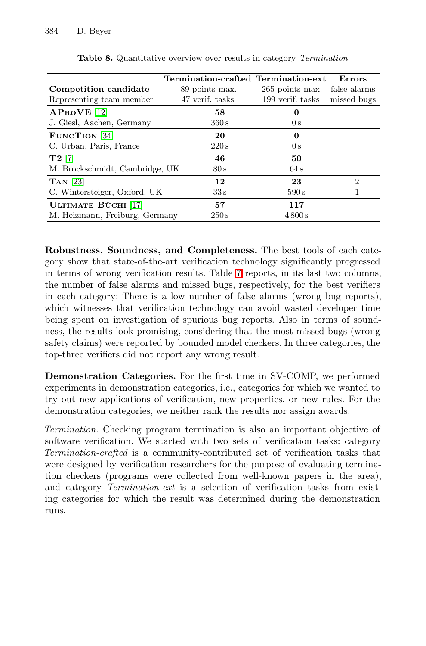|                                | Termination-crafted Termination-ext |                  | <b>Errors</b> |
|--------------------------------|-------------------------------------|------------------|---------------|
| Competition candidate          | 89 points max.                      | 265 points max.  | false alarms  |
| Representing team member       | 47 verif, tasks                     | 199 verif, tasks | missed bugs   |
| APROVE [12]                    | 58                                  | 0                |               |
| J. Giesl, Aachen, Germany      | 360 s                               | 0s               |               |
| FUNCTION [34]                  | 20                                  | $\bf{0}$         |               |
| C. Urban, Paris, France        | 220s                                | 0s               |               |
| $T2$ [7]                       | 46                                  | 50               |               |
| M. Brockschmidt, Cambridge, UK | 80 s                                | 64 s             |               |
| $\text{TAN}$ [23]              | 12                                  | 23               | $\Omega$      |
| C. Wintersteiger, Oxford, UK   | 33 s                                | 590 s            |               |
| ULTIMATE BÜCHI [17]            | 57                                  | 117              |               |
| M. Heizmann, Freiburg, Germany | 250 s                               | 4800 s           |               |

Table 8. Quantitative overview over results in category *Termination*

Robustness, Soundness, and Completeness. The best tools of each category show that state-of-the-art verification technology significantly progressed in terms of wrong verification results. Table 7 reports, in its last two columns, the number of false alarms and missed bugs, respectively, for the best verifiers in each category: There is a low number of false alarms (wrong bug reports), which witnesses that verification technology can avoid wasted developer time being spent on investigation of spurious bug reports. Also in terms of soundness, the results look promising, considering that the most missed bugs (wrong safety claims) were reported by bounded model checkers. In three categories, the top-three verifiers did not report any wrong result.

Demonstration Categories. For the first time in SV-COMP, we performed experiments in demonstration categories, i.e., categories for which we wanted to try out new applications of verification, new properties, or new rules. For the demonstration categories, we neither rank the results nor assign awards.

*Termination.* Checking program termination is also an important objective of software verification. We started with two sets of verification tasks: category *Termination-crafted* is a community-contributed set of verification tasks that were designed by verification researchers for the purpose of evaluating termination checkers (programs were collected from well-known papers in the area), and category *Termination-ext* is a selection of verification tasks from existing categories for which the result was determined during the demonstration runs.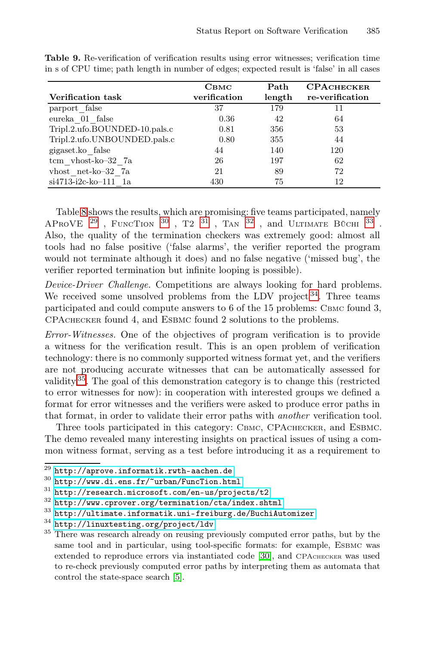| Verification task             | $C_{\rm BMC}$<br>verification | $\mathbf{Path}$<br>length | <b>CPACHECKER</b><br>re-verification |
|-------------------------------|-------------------------------|---------------------------|--------------------------------------|
| parport false                 | 37                            | 179                       | 11                                   |
| eureka 01 false               | 0.36                          | 42                        | 64                                   |
| Tripl.2.ufo.BOUNDED-10.pals.c | 0.81                          | 356                       | 53                                   |
| Tripl.2.ufo.UNBOUNDED.pals.c  | 0.80                          | 355                       | 44                                   |
| gigaset.ko false              | 44                            | 140                       | 120                                  |
| tcm vhost-ko-32 $\,$ 7a       | 26                            | 197                       | 62                                   |
| vhost net-ko-32 7a            | 21                            | 89                        | 72                                   |
| si4713-i2c-ko-111 1a          | 430                           | 75                        | 12                                   |

Table 9. Re-verification of verification results using error witnesses; verification time in s of CPU time; path length in number of edges; expected result is 'false' in all cases

Table 8 shows the results, which are promis[ing](#page-12-4): five teams participated, namely APROVE  $29$ , FUNCTION  $30$ , T2  $31$ , TAN  $32$ , and ULTIMATE BÜCHI  $33$ . Also, the quality of the termination checkers was extremely good: almost all tools had no false positive ('false alarms', the verifier reported the program would not terminate although it does) and no false negative ('missed bug', the verifier reported termination but infinite looping is possible).

*Device-Driver Challenge.* Competitions are always looking for hard problems. We received some unsolved problems from the LDV project<sup>34</sup>. Three teams participated and could compute answers to  $6$  of the 15 problems: CBMc found 3, CPAchecker found 4, and Esbmc found 2 solutions to the problems.

<span id="page-12-4"></span><span id="page-12-3"></span><span id="page-12-2"></span><span id="page-12-1"></span><span id="page-12-0"></span>*Error-Witnesses.* One of the objectives of program verification is to provide a witness for the verification result. This is an open problem of verification technology: there is no commonly supported witness format yet, and the verifiers are not producing accurate witnesses that can be automatically assessed for validity <sup>35</sup>[. The goal of this](http://aprove.informatik.rwth-aachen.de) demonstration category is to change this (restricted [to error witnesses for now\): i](http://www.di.ens.fr/~urban/FuncTion.html)n cooperation with interested groups we defined a [format for error witnesses and the v](http://research.microsoft.com/en-us/projects/t2)erifiers were asked to produce error paths in [that format, in order to validate their e](http://www.cprover.org/termination/cta/index.shtml)rror paths with *another* verification tool.

[Three tools participated in this category:](http://ultimate.informatik.uni-freiburg.de/BuchiAutomizer) CBMC, CPACHECKER, and ESBMC. [The](http://linuxtesting.org/project/ldv) [demo](http://linuxtesting.org/project/ldv) [revealed](http://linuxtesting.org/project/ldv) [ma](http://linuxtesting.org/project/ldv)ny interesting insights on practical issues of using a common witness format, serving as a test before introducing it as a requirement to

 $\overline{^{29}$  http://aprove.informatik.rwt[h-a](#page-15-7)achen.de

<sup>30</sup> http://www.di.ens.fr/~urban/FuncTion.html

 $31$  http://re[sea](#page-14-12)rch.microsoft.com/en-us/projects/t2

<sup>32</sup> http://www.cprover.org/termination/cta/index.shtml

 $^{\rm 33}$ http://ultimate.informatik.uni-freiburg.de/BuchiAutomizer

<sup>34</sup> http://linuxtesting.org/project/ldv

<sup>&</sup>lt;sup>35</sup> There was research already on reusing previously computed error paths, but by the same tool and in particular, using tool-specific formats: for example, ESBMC was extended to reproduce errors via instantiated code [30], and CPACHECKER was used to re-check previously computed error paths by interpreting them as automata that control the state-space search [5].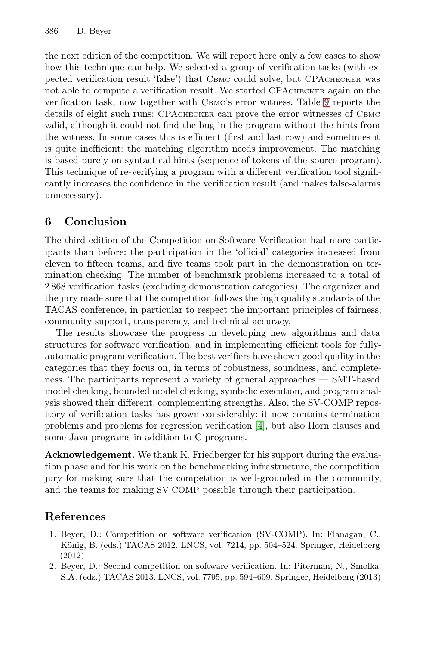the next edition of the competition. We will report here only a few cases to show how this technique can help. We selected a group of verification tasks (with expected verification result 'false') that Cbmc could solve, but CPAchecker was not able to compute a verification result. We started CPACHECKER again on the verification task, now together with Cbmc's error witness. Table 9 reports the details of eight such runs: CPAchecker can prove the error witnesses of Cbmc valid, although it could not find the bug in the program without the hints from the witness. In some cases this is efficient (first and last row) and sometimes it is quite inefficient: the matching algorithm needs improvement. The matching is based purely on syntactical hints (sequence of tokens of the source program). This technique of re-verifying a program with a different verification tool significantly increases the confidence in the verification result (and makes false-alarms unnecessary).

# 6 Conclusion

The third edition of the Competition on Software Verification had more participants than before: the participation in the 'official' categories increased from eleven to fifteen teams, and five teams took part in the demonstration on termination checking. The number of benchmark problems increased to a total of 2 868 verification tasks (excluding demonstration categories). The organizer and the jury made sure that the competition follows the high quality standards of the TACAS conference, in particular to respect the important principles of fairness, community support, transparency, and technical accuracy.

<span id="page-13-1"></span><span id="page-13-0"></span>The results showcase the pr[og](#page-14-13)ress in developing new algorithms and data structures for software verification, and in implementing efficient tools for fullyautomatic program verification. The best verifiers have shown good quality in the categories that they focus on, in terms of robustness, soundness, and completeness. The participants represent a variety of general approaches — SMT-based model checking, bounded model checking, symbolic execution, and program analysis showed their different, complementing strengths. Also, the SV-COMP repository of verification tasks has grown considerably: it now contains termination problems and problems for regression verification [4], but also Horn clauses and some Java programs in addition to C programs.

Acknowledgement. We thank K. Friedberger for his support during the evaluation phase and for his work on the benchmarking infrastructure, the competition jury for making sure that the competition is well-grounded in the community, and the teams for making SV-COMP possible through their participation.

#### References

- 1. Beyer, D.: Competition on software verification (SV-COMP). In: Flanagan, C., König, B. (eds.) TACAS 2012. LNCS, vol. 7214, pp. 504–524. Springer, Heidelberg (2012)
- 2. Beyer, D.: Second competition on software verification. In: Piterman, N., Smolka, S.A. (eds.) TACAS 2013. LNCS, vol. 7795, pp. 594–609. Springer, Heidelberg (2013)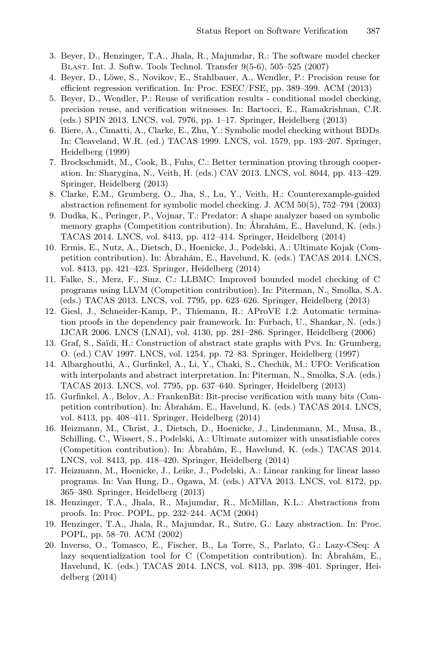- <span id="page-14-13"></span><span id="page-14-12"></span><span id="page-14-10"></span><span id="page-14-7"></span>3. Beyer, D., Henzinger, T.A., Jhala, R., Majumdar, R.: The software model checker Blast. Int. J. Softw. Tools Technol. Transfer 9(5-6), 505–525 (2007)
- 4. Beyer, D., Löwe, S., Novikov, E., Stahlbauer, A., Wendler, P.: Precision reuse for efficient regression verification. In: Proc. ESEC/FSE, pp. 389–399. ACM (2013)
- <span id="page-14-6"></span>5. Beyer, D., Wendler, P.: Reuse of verification results - conditional model checking, precision reuse, and verification witnesses. In: Bartocci, E., Ramakrishnan, C.R. (eds.) SPIN 2013. LNCS, vol. 7976, pp. 1–17. Springer, Heidelberg (2013)
- 6. Biere, A., Cimatti, A., Clarke, E., Zhu, Y.: Symbolic model checking without BDDs. In: Cleaveland, W.R. (ed.) TACAS 1999. LNCS, vol. 1579, pp. 193–207. Springer, Heidelberg (1999)
- <span id="page-14-5"></span>7. Brockschmidt, M., Cook, B., Fuhs, C.: Better termination proving through cooperation. In: Sharygina, N., Veith, H. (eds.) CAV 2013. LNCS, vol. 8044, pp. 413–429. Springer, Heidelberg (2013)
- <span id="page-14-2"></span>8. Clarke, E.M., Grumberg, O., Jha, S., Lu, Y., Veith, H.: Counterexample-guided abstraction refinement for symbolic model checking. J. ACM 50(5), 752–794 (2003)
- 9. Dudka, K., Peringer, P., Vojnar, T.: Predator: A shape analyzer based on symbolic memory graphs (Competition contribution). In: Ábrahám, E., Havelund, K. (eds.) TACAS 2014. LNCS, vol. 8413, pp. 412–414. Springer, Heidelberg (2014)
- 10. Ermis, E., Nutz, A., Dietsch, D., Hoenicke, J., Podelski, A.: Ultimate Kojak (Competition contribution). In: Ábrahám, E., Havelund, K. (eds.) TACAS 2014. LNCS, vol. 8413, pp. 421–423. Springer, Heidelberg (2014)
- <span id="page-14-3"></span>11. Falke, S., Merz, F., Sinz, C.: LLBMC: Improved bounded model checking of C programs using LLVM (Competition contribution). In: Piterman, N., Smolka, S.A. (eds.) TACAS 2013. LNCS, vol. 7795, pp. 623–626. Springer, Heidelberg (2013)
- <span id="page-14-1"></span>12. Giesl, J., Schneider-Kamp, P., Thiemann, R.: AProVE 1.2: Automatic termination proofs in the dependency pair framework. In: Furbach, U., Shankar, N. (eds.) IJCAR 2006. LNCS (LNAI), vol. 4130, pp. 281–286. Springer, Heidelberg (2006)
- <span id="page-14-4"></span>13. Graf, S., Saïdi, H.: Construction of abstract state graphs with Pvs. In: Grumberg, O. (ed.) CAV 1997. LNCS, vol. 1254, pp. 72–83. Springer, Heidelberg (1997)
- 14. Albarghouthi, A., Gurfinkel, A., Li, Y., Chaki, S., Chechik, M.: UFO: Verification with interpolants and abstract interpretation. In: Piterman, N., Smolka, S.A. (eds.) TACAS 2013. LNCS, vol. 7795, pp. 637–640. Springer, Heidelberg (2013)
- <span id="page-14-11"></span>15. Gurfinkel, A., Belov, A.: FrankenBit: Bit-precise verification with many bits (Competition contribution). In: Ábrahám, E., Havelund, K. (eds.) TACAS 2014. LNCS, vol. 8413, pp. 408–411. Springer, Heidelberg (2014)
- <span id="page-14-9"></span><span id="page-14-8"></span>16. Heizmann, M., Christ, J., Dietsch, D., Hoenicke, J., Lindenmann, M., Musa, B., Schilling, C., Wissert, S., Podelski, A.: Ultimate automizer with unsatisfiable cores (Competition contribution). In: Ábrahám, E., Havelund, K. (eds.) TACAS 2014. LNCS, vol. 8413, pp. 418–420. Springer, Heidelberg (2014)
- <span id="page-14-0"></span>17. Heizmann, M., Hoenicke, J., Leike, J., Podelski, A.: Linear ranking for linear lasso programs. In: Van Hung, D., Ogawa, M. (eds.) ATVA 2013. LNCS, vol. 8172, pp. 365–380. Springer, Heidelberg (2013)
- 18. Henzinger, T.A., Jhala, R., Majumdar, R., McMillan, K.L.: Abstractions from proofs. In: Proc. POPL, pp. 232–244. ACM (2004)
- 19. Henzinger, T.A., Jhala, R., Majumdar, R., Sutre, G.: Lazy abstraction. In: Proc. POPL, pp. 58–70. ACM (2002)
- 20. Inverso, O., Tomasco, E., Fischer, B., La Torre, S., Parlato, G.: Lazy-CSeq: A lazy sequentialization tool for C (Competition contribution). In: Ábrahám, E., Havelund, K. (eds.) TACAS 2014. LNCS, vol. 8413, pp. 398–401. Springer, Heidelberg (2014)